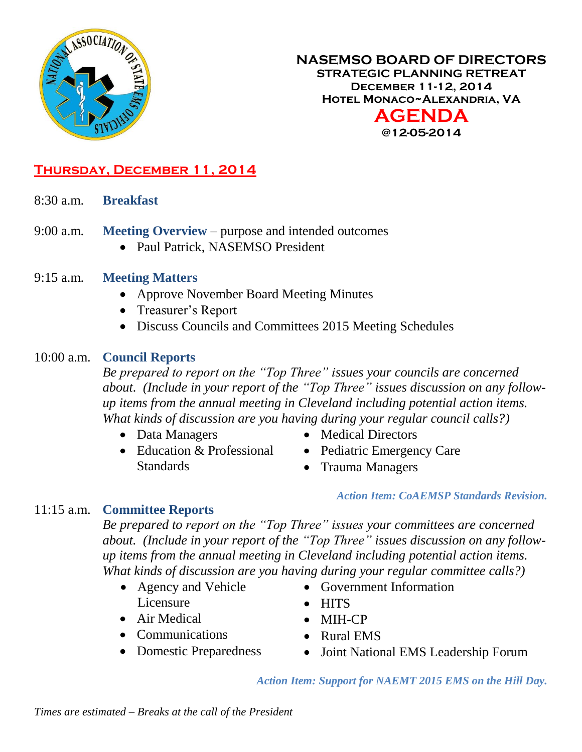

### **NASEMSO BOARD OF DIRECTORS STRATEGIC PLANNING RETREAT December 11-12, 2014 Hotel Monaco~Alexandria, VA AGENDA @12-05-2014**

## **Thursday, December 11, 2014**

- 8:30 a.m. **Breakfast**
- 9:00 a.m. **Meeting Overview** purpose and intended outcomes
	- Paul Patrick, NASEMSO President
- 9:15 a.m. **Meeting Matters**
	- Approve November Board Meeting Minutes
	- Treasurer's Report
	- Discuss Councils and Committees 2015 Meeting Schedules

#### 10:00 a.m. **Council Reports**

*Be prepared to report on the "Top Three" issues your councils are concerned about. (Include in your report of the "Top Three" issues discussion on any followup items from the annual meeting in Cleveland including potential action items. What kinds of discussion are you having during your regular council calls?)*

- Data Managers
- Education & Professional Standards
- Medical Directors
	- Pediatric Emergency Care
		- Trauma Managers

*Action Item: CoAEMSP Standards Revision.*

#### 11:15 a.m. **Committee Reports**

*Be prepared to report on the "Top Three" issues your committees are concerned about. (Include in your report of the "Top Three" issues discussion on any followup items from the annual meeting in Cleveland including potential action items. What kinds of discussion are you having during your regular committee calls?)*

- Agency and Vehicle Licensure
- Air Medical
- Communications
- Domestic Preparedness
- Government Information
- HITS
- MIH-CP
- Rural EMS
- Joint National EMS Leadership Forum

*Action Item: Support for NAEMT 2015 EMS on the Hill Day.*